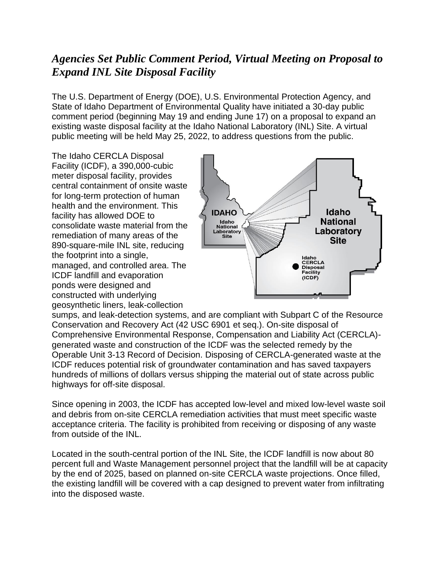## *Agencies Set Public Comment Period, Virtual Meeting on Proposal to Expand INL Site Disposal Facility*

The U.S. Department of Energy (DOE), U.S. Environmental Protection Agency, and State of Idaho Department of Environmental Quality have initiated a 30-day public comment period (beginning May 19 and ending June 17) on a proposal to expand an existing waste disposal facility at the Idaho National Laboratory (INL) Site. A virtual public meeting will be held May 25, 2022, to address questions from the public.

The Idaho CERCLA Disposal Facility (ICDF), a 390,000-cubic meter disposal facility, provides central containment of onsite waste for long-term protection of human health and the environment. This facility has allowed DOE to consolidate waste material from the remediation of many areas of the 890-square-mile INL site, reducing the footprint into a single, managed, and controlled area. The ICDF landfill and evaporation ponds were designed and constructed with underlying geosynthetic liners, leak-collection



sumps, and leak-detection systems, and are compliant with Subpart C of the Resource Conservation and Recovery Act (42 USC 6901 et seq.). On-site disposal of Comprehensive Environmental Response, Compensation and Liability Act (CERCLA) generated waste and construction of the ICDF was the selected remedy by the Operable Unit 3-13 Record of Decision. Disposing of CERCLA-generated waste at the ICDF reduces potential risk of groundwater contamination and has saved taxpayers hundreds of millions of dollars versus shipping the material out of state across public highways for off-site disposal.

Since opening in 2003, the ICDF has accepted low-level and mixed low-level waste soil and debris from on-site CERCLA remediation activities that must meet specific waste acceptance criteria. The facility is prohibited from receiving or disposing of any waste from outside of the INL.

Located in the south-central portion of the INL Site, the ICDF landfill is now about 80 percent full and Waste Management personnel project that the landfill will be at capacity by the end of 2025, based on planned on-site CERCLA waste projections. Once filled, the existing landfill will be covered with a cap designed to prevent water from infiltrating into the disposed waste.